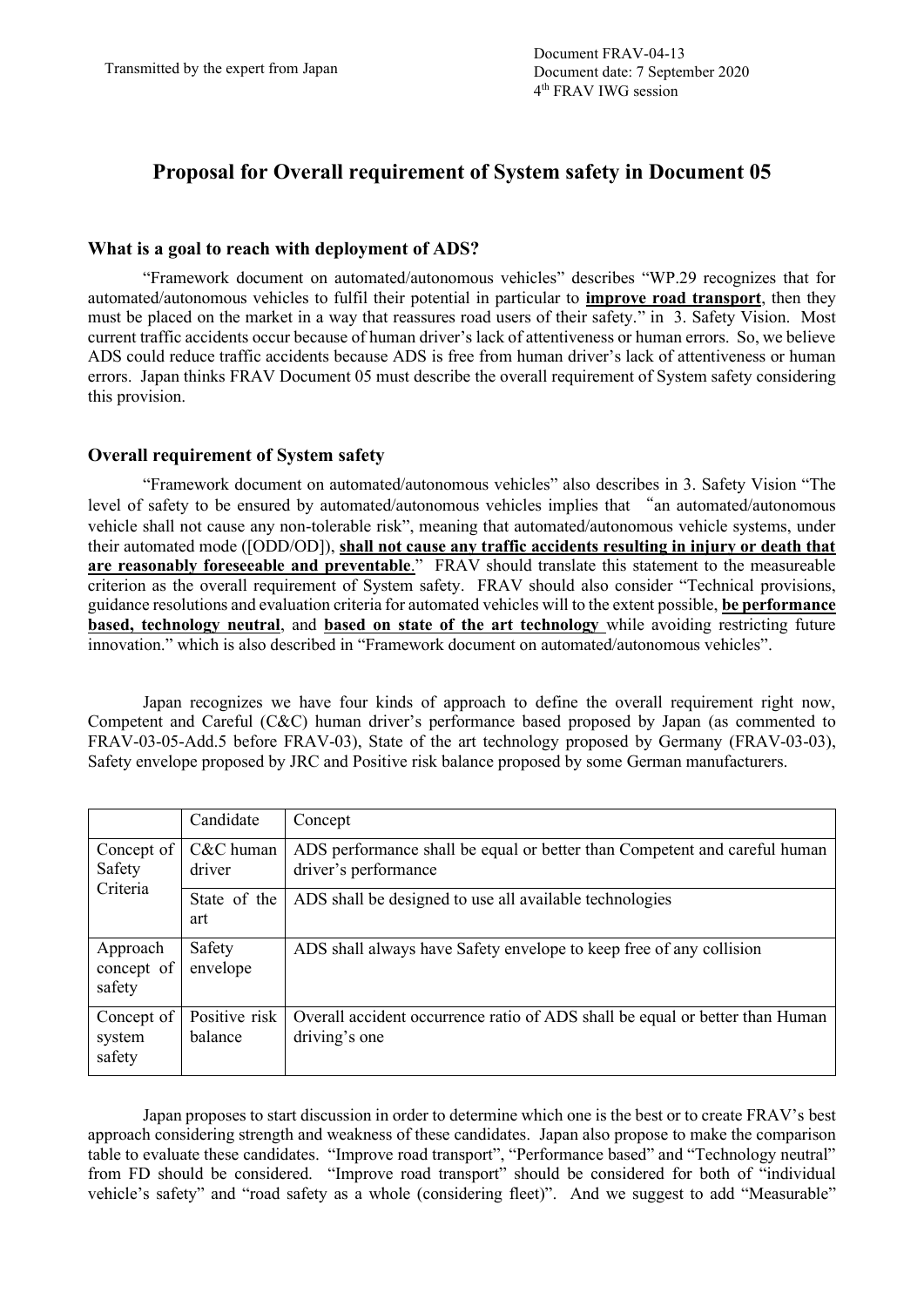## **Proposal for Overall requirement of System safety in Document 05**

## **What is a goal to reach with deployment of ADS?**

"Framework document on automated/autonomous vehicles" describes "WP.29 recognizes that for automated/autonomous vehicles to fulfil their potential in particular to **improve road transport**, then they must be placed on the market in a way that reassures road users of their safety." in 3. Safety Vision. Most current traffic accidents occur because of human driver's lack of attentiveness or human errors. So, we believe ADS could reduce traffic accidents because ADS is free from human driver's lack of attentiveness or human errors. Japan thinks FRAV Document 05 must describe the overall requirement of System safety considering this provision.

## **Overall requirement of System safety**

"Framework document on automated/autonomous vehicles" also describes in 3. Safety Vision "The level of safety to be ensured by automated/autonomous vehicles implies that "an automated/autonomous vehicle shall not cause any non-tolerable risk", meaning that automated/autonomous vehicle systems, under their automated mode ([ODD/OD]), **shall not cause any traffic accidents resulting in injury or death that are reasonably foreseeable and preventable**." FRAV should translate this statement to the measureable criterion as the overall requirement of System safety. FRAV should also consider "Technical provisions, guidance resolutions and evaluation criteria for automated vehicles will to the extent possible, **be performance based, technology neutral**, and **based on state of the art technology** while avoiding restricting future innovation." which is also described in "Framework document on automated/autonomous vehicles".

Japan recognizes we have four kinds of approach to define the overall requirement right now, Competent and Careful (C&C) human driver's performance based proposed by Japan (as commented to FRAV-03-05-Add.5 before FRAV-03), State of the art technology proposed by Germany (FRAV-03-03), Safety envelope proposed by JRC and Positive risk balance proposed by some German manufacturers.

|                                  | Candidate                | Concept                                                                                           |  |  |
|----------------------------------|--------------------------|---------------------------------------------------------------------------------------------------|--|--|
| Concept of<br>Safety<br>Criteria | C&C human<br>driver      | ADS performance shall be equal or better than Competent and careful human<br>driver's performance |  |  |
|                                  | State of the<br>art      | ADS shall be designed to use all available technologies                                           |  |  |
| Approach<br>concept of<br>safety | Safety<br>envelope       | ADS shall always have Safety envelope to keep free of any collision                               |  |  |
| Concept of<br>system<br>safety   | Positive risk<br>balance | Overall accident occurrence ratio of ADS shall be equal or better than Human<br>driving's one     |  |  |

Japan proposes to start discussion in order to determine which one is the best or to create FRAV's best approach considering strength and weakness of these candidates. Japan also propose to make the comparison table to evaluate these candidates. "Improve road transport", "Performance based" and "Technology neutral" from FD should be considered. "Improve road transport" should be considered for both of "individual vehicle's safety" and "road safety as a whole (considering fleet)". And we suggest to add "Measurable"